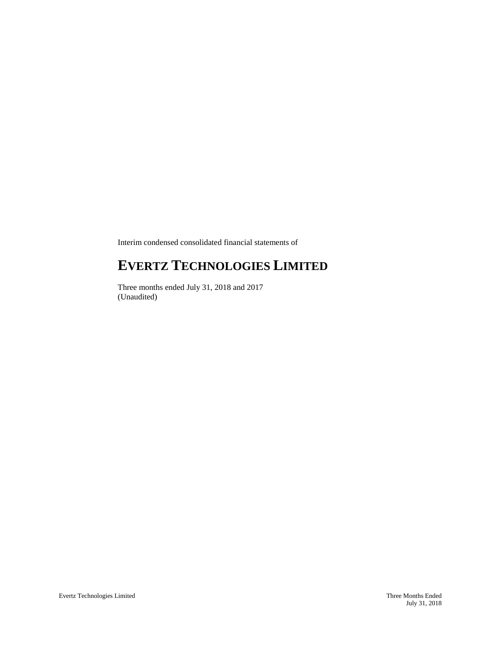Interim condensed consolidated financial statements of

# **EVERTZ TECHNOLOGIES LIMITED**

Three months ended July 31, 2018 and 2017 (Unaudited)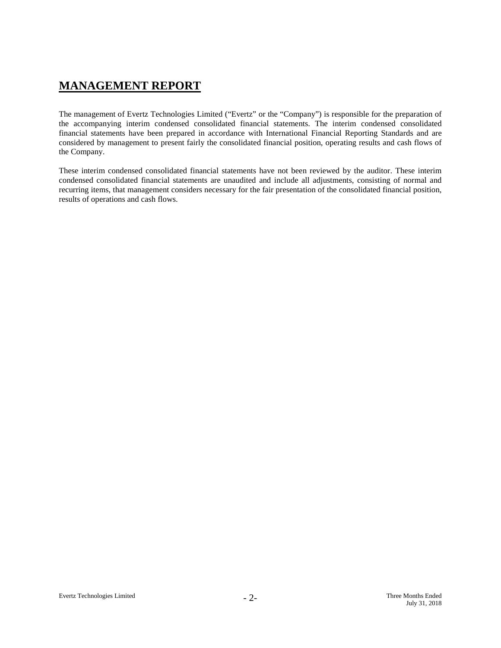## **MANAGEMENT REPORT**

The management of Evertz Technologies Limited ("Evertz" or the "Company") is responsible for the preparation of the accompanying interim condensed consolidated financial statements. The interim condensed consolidated financial statements have been prepared in accordance with International Financial Reporting Standards and are considered by management to present fairly the consolidated financial position, operating results and cash flows of the Company.

These interim condensed consolidated financial statements have not been reviewed by the auditor. These interim condensed consolidated financial statements are unaudited and include all adjustments, consisting of normal and recurring items, that management considers necessary for the fair presentation of the consolidated financial position, results of operations and cash flows.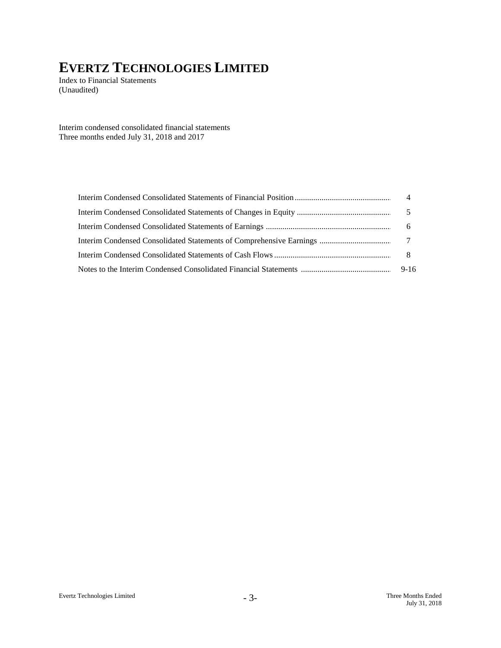Index to Financial Statements (Unaudited)

Interim condensed consolidated financial statements Three months ended July 31, 2018 and 2017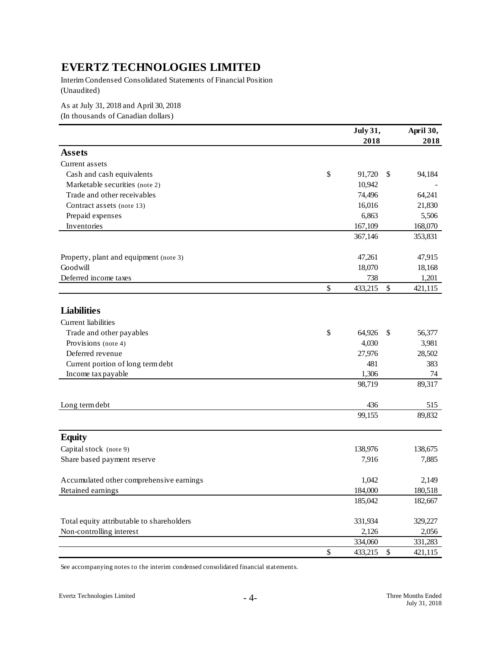Interim Condensed Consolidated Statements of Financial Position (Unaudited)

As at July 31, 2018 and April 30, 2018

(In thousands of Canadian dollars)

|                                           | July 31,      |            | April 30, |
|-------------------------------------------|---------------|------------|-----------|
|                                           | 2018          |            | 2018      |
| <b>Assets</b>                             |               |            |           |
| Current assets                            |               |            |           |
| Cash and cash equivalents                 | \$<br>91,720  | \$         | 94,184    |
| Marketable securities (note 2)            | 10,942        |            |           |
| Trade and other receivables               | 74,496        |            | 64,241    |
| Contract assets (note 13)                 | 16,016        |            | 21,830    |
| Prepaid expenses                          | 6,863         |            | 5,506     |
| Inventories                               | 167,109       |            | 168,070   |
|                                           | 367,146       |            | 353,831   |
|                                           |               |            |           |
| Property, plant and equipment (note 3)    | 47,261        |            | 47,915    |
| Goodwill                                  | 18,070        |            | 18,168    |
| Deferred income taxes                     | 738           |            | 1,201     |
|                                           | \$<br>433,215 | \$         | 421,115   |
|                                           |               |            |           |
| <b>Liabilities</b>                        |               |            |           |
| Current liabilities                       |               |            |           |
| Trade and other payables                  | \$<br>64,926  | \$         | 56,377    |
| Provisions (note 4)                       | 4,030         |            | 3,981     |
| Deferred revenue                          | 27,976        |            | 28,502    |
| Current portion of long term debt         | 481           |            | 383       |
| Income tax payable                        | 1,306         |            | 74        |
|                                           | 98,719        |            | 89,317    |
|                                           |               |            |           |
| Long term debt                            | 436           |            | 515       |
|                                           | 99,155        |            | 89,832    |
| <b>Equity</b>                             |               |            |           |
| Capital stock (note 9)                    | 138,976       |            | 138,675   |
| Share based payment reserve               | 7,916         |            | 7,885     |
|                                           |               |            |           |
| Accumulated other comprehensive earnings  | 1,042         |            | 2,149     |
| Retained earnings                         | 184,000       |            | 180,518   |
|                                           | 185,042       |            | 182,667   |
| Total equity attributable to shareholders | 331,934       |            | 329,227   |
| Non-controlling interest                  | 2,126         |            | 2,056     |
|                                           | 334,060       |            | 331,283   |
|                                           | \$<br>433,215 | $\sqrt{3}$ | 421,115   |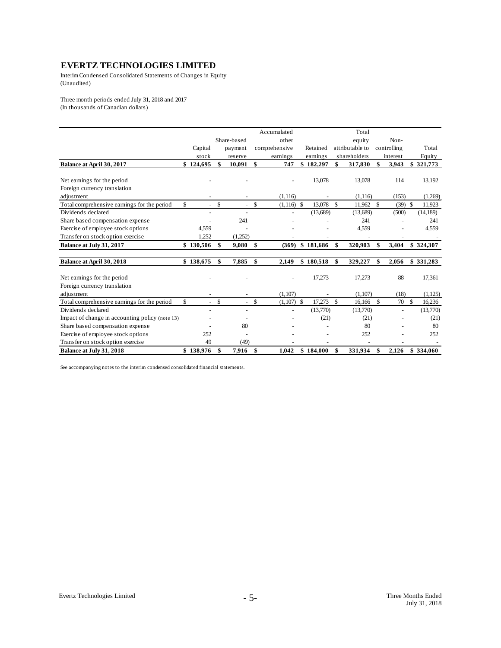Interim Condensed Consolidated Statements of Changes in Equity (Unaudited)

Three month periods ended July 31, 2018 and 2017 (In thousands of Canadian dollars)

|                                                 |                      |                          | Accumulated        |           |                    | Total           |                 |             |           |
|-------------------------------------------------|----------------------|--------------------------|--------------------|-----------|--------------------|-----------------|-----------------|-------------|-----------|
|                                                 |                      | Share-based              | other              |           |                    | equity          | Non-            |             |           |
|                                                 | Capital              | payment                  | comprehensive      | Retained  |                    | attributable to | controlling     |             | Total     |
|                                                 | stock                | reserve                  | earnings           | earnings  |                    | shareholders    | interest        |             | Equity    |
| Balance at April 30, 2017                       | \$124,695            | \$<br>10,091             | \$<br>747          | \$182,297 | \$                 | 317,830         | \$<br>3,943     | \$          | 321,773   |
|                                                 |                      |                          |                    |           |                    |                 |                 |             |           |
| Net earnings for the period                     |                      |                          |                    | 13,078    |                    | 13,078          | 114             |             | 13,192    |
| Foreign currency translation                    |                      |                          |                    |           |                    |                 |                 |             |           |
| adjustment                                      |                      |                          | (1, 116)           |           |                    | (1, 116)        | (153)           |             | (1,269)   |
| Total comprehensive earnings for the period     | \$<br>$\overline{a}$ | \$<br>$\overline{a}$     | \$<br>$(1,116)$ \$ | 13,078    | \$                 | 11,962          | \$<br>$(39)$ \$ |             | 11,923    |
| Dividends declared                              |                      | $\overline{\phantom{a}}$ |                    | (13,689)  |                    | (13,689)        | (500)           |             | (14, 189) |
| Share based compensation expense                |                      | 241                      |                    |           |                    | 241             |                 |             | 241       |
| Exercise of employee stock options              | 4,559                |                          |                    |           |                    | 4,559           |                 |             | 4,559     |
| Transfer on stock option exercise               | 1,252                | (1,252)                  |                    |           |                    |                 |                 |             |           |
| Balance at July 31, 2017                        | \$130,506            | \$<br>9,080              | \$<br>(369)        | \$181,686 | \$                 | 320,903         | \$<br>3,404     |             | \$324,307 |
|                                                 |                      |                          |                    |           |                    |                 |                 |             |           |
| Balance at April 30, 2018                       | \$138,675            | \$<br>7,885              | \$<br>2,149        | \$180,518 | \$                 | 329,227         | \$<br>2,056     |             | \$331,283 |
| Net earnings for the period                     |                      |                          |                    | 17,273    |                    | 17,273          | 88              |             | 17,361    |
| Foreign currency translation                    |                      |                          |                    |           |                    |                 |                 |             |           |
| adjustment                                      |                      |                          | (1,107)            |           |                    | (1,107)         | (18)            |             | (1,125)   |
| Total comprehensive earnings for the period     | \$<br>$\overline{a}$ | \$<br>$\mathbf{r}$       | \$<br>$(1,107)$ \$ | 17,273    | $\mathbf{\hat{s}}$ | 16,166          | \$<br>70        | $\mathbf S$ | 16,236    |
| Dividends declared                              |                      | $\overline{\phantom{a}}$ |                    | (13,770)  |                    | (13,770)        |                 |             | (13,770)  |
| Impact of change in accounting policy (note 13) |                      |                          |                    | (21)      |                    | (21)            |                 |             | (21)      |
| Share based compensation expense                |                      | 80                       |                    |           |                    | 80              |                 |             | 80        |
| Exercise of employee stock options              | 252                  |                          |                    |           |                    | 252             |                 |             | 252       |
| Transfer on stock option exercise               | 49                   | (49)                     |                    |           |                    |                 |                 |             |           |
| Balance at July 31, 2018                        | \$138.976            | \$<br>7.916              | \$<br>1.042        | \$184,000 | \$                 | 331.934         | \$<br>2.126     |             | \$334,060 |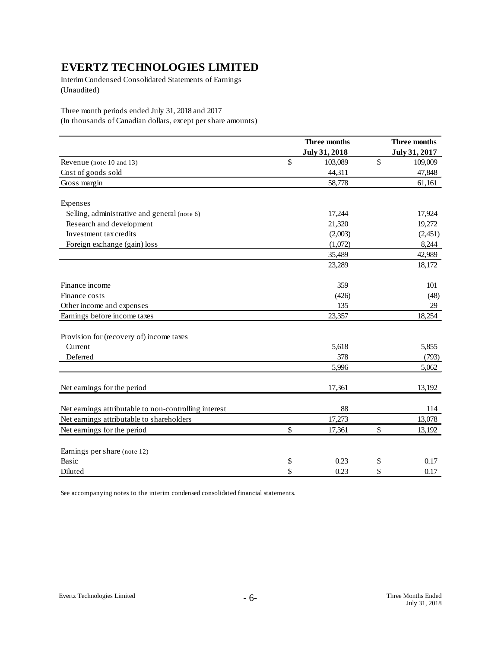Interim Condensed Consolidated Statements of Earnings (Unaudited)

Three month periods ended July 31, 2018 and 2017

(In thousands of Canadian dollars, except per share amounts)

|                                                       | Three months  | Three months  |
|-------------------------------------------------------|---------------|---------------|
|                                                       | July 31, 2018 | July 31, 2017 |
| Revenue (note 10 and 13)                              | \$<br>103,089 | \$<br>109,009 |
| Cost of goods sold                                    | 44,311        | 47,848        |
| Gross margin                                          | 58,778        | 61,161        |
| Expenses                                              |               |               |
| Selling, administrative and general (note 6)          | 17,244        | 17,924        |
| Research and development                              | 21,320        | 19,272        |
| Investment tax credits                                | (2,003)       | (2,451)       |
| Foreign exchange (gain) loss                          | (1,072)       | 8,244         |
|                                                       | 35,489        | 42,989        |
|                                                       | 23,289        | 18,172        |
| Finance income                                        | 359           | 101           |
| Finance costs                                         | (426)         | (48)          |
| Other income and expenses                             | 135           | 29            |
| Earnings before income taxes                          | 23,357        | 18,254        |
| Provision for (recovery of) income taxes              |               |               |
| Current                                               | 5,618         | 5,855         |
| Deferred                                              | 378           | (793)         |
|                                                       | 5,996         | 5,062         |
| Net earnings for the period                           | 17,361        | 13,192        |
| Net earnings attributable to non-controlling interest | 88            | 114           |
| Net earnings attributable to shareholders             | 17,273        | 13,078        |
| Net earnings for the period                           | \$<br>17,361  | \$<br>13,192  |
| Earnings per share (note 12)                          |               |               |
| Basic                                                 | \$<br>0.23    | \$<br>0.17    |
| Diluted                                               | \$<br>0.23    | \$<br>0.17    |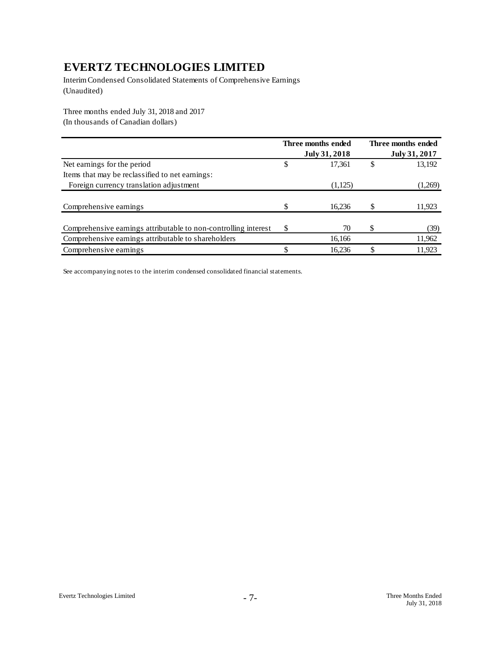Interim Condensed Consolidated Statements of Comprehensive Earnings (Unaudited)

Three months ended July 31, 2018 and 2017 (In thousands of Canadian dollars)

|                                                                 | Three months ended |   | Three months ended |
|-----------------------------------------------------------------|--------------------|---|--------------------|
|                                                                 | July 31, 2018      |   | July 31, 2017      |
| Net earnings for the period                                     | \$<br>17,361       |   | 13,192             |
| Items that may be reclassified to net earnings:                 |                    |   |                    |
| Foreign currency translation adjustment                         | (1,125)            |   | (1,269)            |
|                                                                 |                    |   |                    |
| Comprehensive earnings                                          | 16,236             |   | 11,923             |
|                                                                 |                    |   |                    |
| Comprehensive earnings attributable to non-controlling interest | \$<br>70           | S | (39)               |
| Comprehensive earnings attributable to shareholders             | 16,166             |   | 11,962             |
| Comprehensive earnings                                          | 16,236             |   | 11,923             |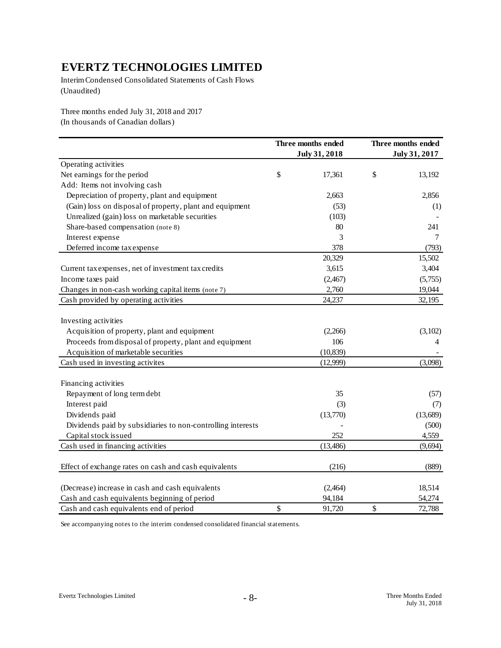Interim Condensed Consolidated Statements of Cash Flows (Unaudited)

Three months ended July 31, 2018 and 2017 (In thousands of Canadian dollars)

| July 31, 2018<br>July 31, 2017<br>Operating activities<br>Net earnings for the period<br>\$<br>\$<br>17,361<br>13,192<br>Add: Items not involving cash<br>Depreciation of property, plant and equipment<br>2,856<br>2,663<br>(Gain) loss on disposal of property, plant and equipment<br>(53)<br>(1)<br>Unrealized (gain) loss on marketable securities<br>(103)<br>Share-based compensation (note 8)<br>80<br>241<br>Interest expense<br>3<br>7<br>Deferred income tax expense<br>378<br>(793)<br>20,329<br>15,502<br>3,404<br>3,615<br>Current tax expenses, net of investment tax credits<br>Income taxes paid<br>(5,755)<br>(2,467)<br>Changes in non-cash working capital items (note 7)<br>2,760<br>19,044<br>32,195<br>Cash provided by operating activities<br>24,237<br>Investing activities<br>Acquisition of property, plant and equipment<br>(2,266)<br>(3,102)<br>Proceeds from disposal of property, plant and equipment<br>106<br>4<br>Acquisition of marketable securities<br>(10, 839)<br>Cash used in investing activites<br>(3,098)<br>(12,999)<br>Financing activities<br>Repayment of long term debt<br>35<br>(57)<br>Interest paid<br>(3)<br>(7)<br>Dividends paid<br>(13,689)<br>(13,770)<br>Dividends paid by subsidiaries to non-controlling interests<br>(500) |
|------------------------------------------------------------------------------------------------------------------------------------------------------------------------------------------------------------------------------------------------------------------------------------------------------------------------------------------------------------------------------------------------------------------------------------------------------------------------------------------------------------------------------------------------------------------------------------------------------------------------------------------------------------------------------------------------------------------------------------------------------------------------------------------------------------------------------------------------------------------------------------------------------------------------------------------------------------------------------------------------------------------------------------------------------------------------------------------------------------------------------------------------------------------------------------------------------------------------------------------------------------------------------------------|
|                                                                                                                                                                                                                                                                                                                                                                                                                                                                                                                                                                                                                                                                                                                                                                                                                                                                                                                                                                                                                                                                                                                                                                                                                                                                                          |
|                                                                                                                                                                                                                                                                                                                                                                                                                                                                                                                                                                                                                                                                                                                                                                                                                                                                                                                                                                                                                                                                                                                                                                                                                                                                                          |
|                                                                                                                                                                                                                                                                                                                                                                                                                                                                                                                                                                                                                                                                                                                                                                                                                                                                                                                                                                                                                                                                                                                                                                                                                                                                                          |
|                                                                                                                                                                                                                                                                                                                                                                                                                                                                                                                                                                                                                                                                                                                                                                                                                                                                                                                                                                                                                                                                                                                                                                                                                                                                                          |
|                                                                                                                                                                                                                                                                                                                                                                                                                                                                                                                                                                                                                                                                                                                                                                                                                                                                                                                                                                                                                                                                                                                                                                                                                                                                                          |
|                                                                                                                                                                                                                                                                                                                                                                                                                                                                                                                                                                                                                                                                                                                                                                                                                                                                                                                                                                                                                                                                                                                                                                                                                                                                                          |
|                                                                                                                                                                                                                                                                                                                                                                                                                                                                                                                                                                                                                                                                                                                                                                                                                                                                                                                                                                                                                                                                                                                                                                                                                                                                                          |
|                                                                                                                                                                                                                                                                                                                                                                                                                                                                                                                                                                                                                                                                                                                                                                                                                                                                                                                                                                                                                                                                                                                                                                                                                                                                                          |
|                                                                                                                                                                                                                                                                                                                                                                                                                                                                                                                                                                                                                                                                                                                                                                                                                                                                                                                                                                                                                                                                                                                                                                                                                                                                                          |
|                                                                                                                                                                                                                                                                                                                                                                                                                                                                                                                                                                                                                                                                                                                                                                                                                                                                                                                                                                                                                                                                                                                                                                                                                                                                                          |
|                                                                                                                                                                                                                                                                                                                                                                                                                                                                                                                                                                                                                                                                                                                                                                                                                                                                                                                                                                                                                                                                                                                                                                                                                                                                                          |
|                                                                                                                                                                                                                                                                                                                                                                                                                                                                                                                                                                                                                                                                                                                                                                                                                                                                                                                                                                                                                                                                                                                                                                                                                                                                                          |
|                                                                                                                                                                                                                                                                                                                                                                                                                                                                                                                                                                                                                                                                                                                                                                                                                                                                                                                                                                                                                                                                                                                                                                                                                                                                                          |
|                                                                                                                                                                                                                                                                                                                                                                                                                                                                                                                                                                                                                                                                                                                                                                                                                                                                                                                                                                                                                                                                                                                                                                                                                                                                                          |
|                                                                                                                                                                                                                                                                                                                                                                                                                                                                                                                                                                                                                                                                                                                                                                                                                                                                                                                                                                                                                                                                                                                                                                                                                                                                                          |
|                                                                                                                                                                                                                                                                                                                                                                                                                                                                                                                                                                                                                                                                                                                                                                                                                                                                                                                                                                                                                                                                                                                                                                                                                                                                                          |
|                                                                                                                                                                                                                                                                                                                                                                                                                                                                                                                                                                                                                                                                                                                                                                                                                                                                                                                                                                                                                                                                                                                                                                                                                                                                                          |
|                                                                                                                                                                                                                                                                                                                                                                                                                                                                                                                                                                                                                                                                                                                                                                                                                                                                                                                                                                                                                                                                                                                                                                                                                                                                                          |
|                                                                                                                                                                                                                                                                                                                                                                                                                                                                                                                                                                                                                                                                                                                                                                                                                                                                                                                                                                                                                                                                                                                                                                                                                                                                                          |
|                                                                                                                                                                                                                                                                                                                                                                                                                                                                                                                                                                                                                                                                                                                                                                                                                                                                                                                                                                                                                                                                                                                                                                                                                                                                                          |
|                                                                                                                                                                                                                                                                                                                                                                                                                                                                                                                                                                                                                                                                                                                                                                                                                                                                                                                                                                                                                                                                                                                                                                                                                                                                                          |
|                                                                                                                                                                                                                                                                                                                                                                                                                                                                                                                                                                                                                                                                                                                                                                                                                                                                                                                                                                                                                                                                                                                                                                                                                                                                                          |
|                                                                                                                                                                                                                                                                                                                                                                                                                                                                                                                                                                                                                                                                                                                                                                                                                                                                                                                                                                                                                                                                                                                                                                                                                                                                                          |
|                                                                                                                                                                                                                                                                                                                                                                                                                                                                                                                                                                                                                                                                                                                                                                                                                                                                                                                                                                                                                                                                                                                                                                                                                                                                                          |
|                                                                                                                                                                                                                                                                                                                                                                                                                                                                                                                                                                                                                                                                                                                                                                                                                                                                                                                                                                                                                                                                                                                                                                                                                                                                                          |
| Capital stock issued<br>252<br>4,559                                                                                                                                                                                                                                                                                                                                                                                                                                                                                                                                                                                                                                                                                                                                                                                                                                                                                                                                                                                                                                                                                                                                                                                                                                                     |
| Cash used in financing activities<br>(13, 486)<br>(9,694)                                                                                                                                                                                                                                                                                                                                                                                                                                                                                                                                                                                                                                                                                                                                                                                                                                                                                                                                                                                                                                                                                                                                                                                                                                |
| Effect of exchange rates on cash and cash equivalents<br>(216)<br>(889)                                                                                                                                                                                                                                                                                                                                                                                                                                                                                                                                                                                                                                                                                                                                                                                                                                                                                                                                                                                                                                                                                                                                                                                                                  |
| (Decrease) increase in cash and cash equivalents<br>(2,464)<br>18,514                                                                                                                                                                                                                                                                                                                                                                                                                                                                                                                                                                                                                                                                                                                                                                                                                                                                                                                                                                                                                                                                                                                                                                                                                    |
| 94,184<br>54,274<br>Cash and cash equivalents beginning of period                                                                                                                                                                                                                                                                                                                                                                                                                                                                                                                                                                                                                                                                                                                                                                                                                                                                                                                                                                                                                                                                                                                                                                                                                        |
| \$<br>\$<br>Cash and cash equivalents end of period<br>91,720<br>72,788                                                                                                                                                                                                                                                                                                                                                                                                                                                                                                                                                                                                                                                                                                                                                                                                                                                                                                                                                                                                                                                                                                                                                                                                                  |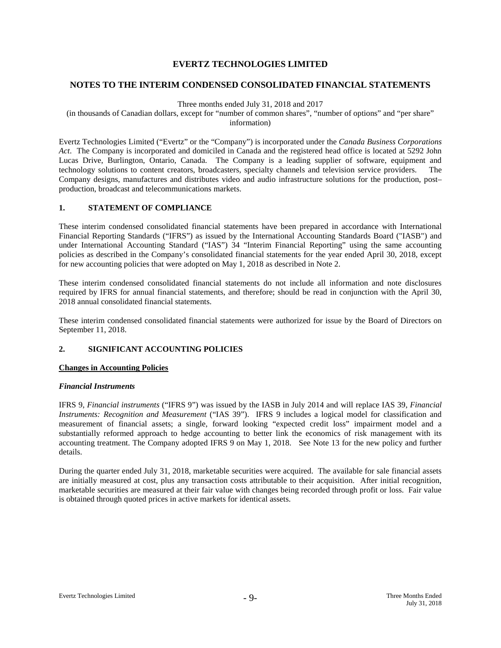## **NOTES TO THE INTERIM CONDENSED CONSOLIDATED FINANCIAL STATEMENTS**

Three months ended July 31, 2018 and 2017

(in thousands of Canadian dollars, except for "number of common shares", "number of options" and "per share" information)

Evertz Technologies Limited ("Evertz" or the "Company") is incorporated under the *Canada Business Corporations Act*. The Company is incorporated and domiciled in Canada and the registered head office is located at 5292 John Lucas Drive, Burlington, Ontario, Canada. The Company is a leading supplier of software, equipment and technology solutions to content creators, broadcasters, specialty channels and television service providers. The Company designs, manufactures and distributes video and audio infrastructure solutions for the production, post– production, broadcast and telecommunications markets.

## **1. STATEMENT OF COMPLIANCE**

These interim condensed consolidated financial statements have been prepared in accordance with International Financial Reporting Standards ("IFRS") as issued by the International Accounting Standards Board ("IASB") and under International Accounting Standard ("IAS") 34 "Interim Financial Reporting" using the same accounting policies as described in the Company's consolidated financial statements for the year ended April 30, 2018, except for new accounting policies that were adopted on May 1, 2018 as described in Note 2.

These interim condensed consolidated financial statements do not include all information and note disclosures required by IFRS for annual financial statements, and therefore; should be read in conjunction with the April 30, 2018 annual consolidated financial statements.

These interim condensed consolidated financial statements were authorized for issue by the Board of Directors on September 11, 2018.

## **2. SIGNIFICANT ACCOUNTING POLICIES**

## **Changes in Accounting Policies**

### *Financial Instruments*

IFRS 9, *Financial instruments* ("IFRS 9") was issued by the IASB in July 2014 and will replace IAS 39, *Financial Instruments: Recognition and Measurement* ("IAS 39"). IFRS 9 includes a logical model for classification and measurement of financial assets; a single, forward looking "expected credit loss" impairment model and a substantially reformed approach to hedge accounting to better link the economics of risk management with its accounting treatment. The Company adopted IFRS 9 on May 1, 2018. See Note 13 for the new policy and further details.

During the quarter ended July 31, 2018, marketable securities were acquired. The available for sale financial assets are initially measured at cost, plus any transaction costs attributable to their acquisition. After initial recognition, marketable securities are measured at their fair value with changes being recorded through profit or loss. Fair value is obtained through quoted prices in active markets for identical assets.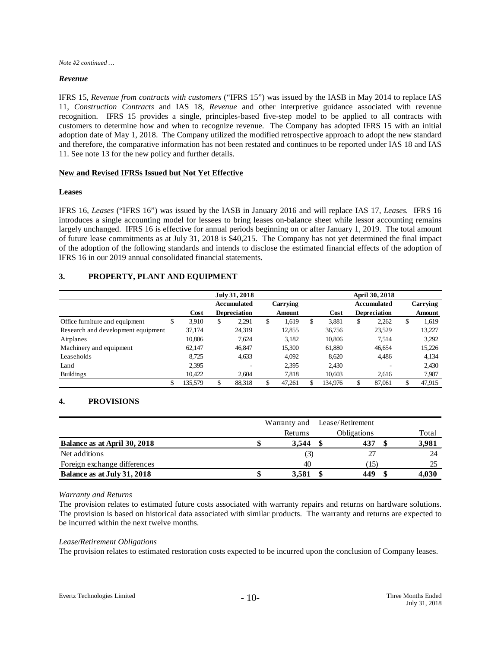*Note #2 continued …*

### *Revenue*

IFRS 15, *Revenue from contracts with customers* ("IFRS 15") was issued by the IASB in May 2014 to replace IAS 11, *Construction Contracts* and IAS 18, *Revenue* and other interpretive guidance associated with revenue recognition. IFRS 15 provides a single, principles-based five-step model to be applied to all contracts with customers to determine how and when to recognize revenue. The Company has adopted IFRS 15 with an initial adoption date of May 1, 2018. The Company utilized the modified retrospective approach to adopt the new standard and therefore, the comparative information has not been restated and continues to be reported under IAS 18 and IAS 11. See note 13 for the new policy and further details.

## **New and Revised IFRSs Issued but Not Yet Effective**

### **Leases**

IFRS 16, *Leases* ("IFRS 16") was issued by the IASB in January 2016 and will replace IAS 17, *Leases.* IFRS 16 introduces a single accounting model for lessees to bring leases on-balance sheet while lessor accounting remains largely unchanged. IFRS 16 is effective for annual periods beginning on or after January 1, 2019. The total amount of future lease commitments as at July 31, 2018 is \$40,215. The Company has not yet determined the final impact of the adoption of the following standards and intends to disclose the estimated financial effects of the adoption of IFRS 16 in our 2019 annual consolidated financial statements.

## **3. PROPERTY, PLANT AND EQUIPMENT**

|                                     |         | July 31, 2018<br>April 30, 2018 |                     |    |               |   |         |    |                     |    |          |  |
|-------------------------------------|---------|---------------------------------|---------------------|----|---------------|---|---------|----|---------------------|----|----------|--|
|                                     |         |                                 | Accumulated         |    | Carrying      |   |         |    | <b>Accumulated</b>  |    | Carrying |  |
|                                     | Cost    |                                 | <b>Depreciation</b> |    | <b>Amount</b> |   | Cost    |    | <b>Depreciation</b> |    | Amount   |  |
| Office furniture and equipment<br>D | 3,910   | \$                              | 2,291               | \$ | 1,619         | S | 3.881   | \$ | 2,262               | \$ | 1,619    |  |
| Research and development equipment  | 37,174  |                                 | 24,319              |    | 12,855        |   | 36,756  |    | 23,529              |    | 13,227   |  |
| Airplanes                           | 10,806  |                                 | 7.624               |    | 3,182         |   | 10,806  |    | 7.514               |    | 3,292    |  |
| Machinery and equipment             | 62,147  |                                 | 46,847              |    | 15,300        |   | 61,880  |    | 46,654              |    | 15,226   |  |
| Leaseholds                          | 8.725   |                                 | 4,633               |    | 4,092         |   | 8.620   |    | 4,486               |    | 4,134    |  |
| Land                                | 2,395   |                                 | ۰                   |    | 2,395         |   | 2.430   |    |                     |    | 2.430    |  |
| <b>Buildings</b>                    | 10,422  |                                 | 2,604               |    | 7,818         |   | 10,603  |    | 2,616               |    | 7,987    |  |
| \$                                  | 135,579 | \$                              | 88,318              |    | 47,261        |   | 134,976 | \$ | 87.061              | \$ | 47,915   |  |

## **4. PROVISIONS**

|                              |         | Warranty and Lease/Retirement |       |
|------------------------------|---------|-------------------------------|-------|
|                              | Returns | <b>Obligations</b>            | Total |
| Balance as at April 30, 2018 | 3.544   | 437                           | 3,981 |
| Net additions                | (3)     |                               | 24    |
| Foreign exchange differences | 40      | 15)                           |       |
| Balance as at July 31, 2018  | 3.581   | 449                           | 4,030 |

### *Warranty and Returns*

The provision relates to estimated future costs associated with warranty repairs and returns on hardware solutions. The provision is based on historical data associated with similar products. The warranty and returns are expected to be incurred within the next twelve months.

### *Lease/Retirement Obligations*

The provision relates to estimated restoration costs expected to be incurred upon the conclusion of Company leases.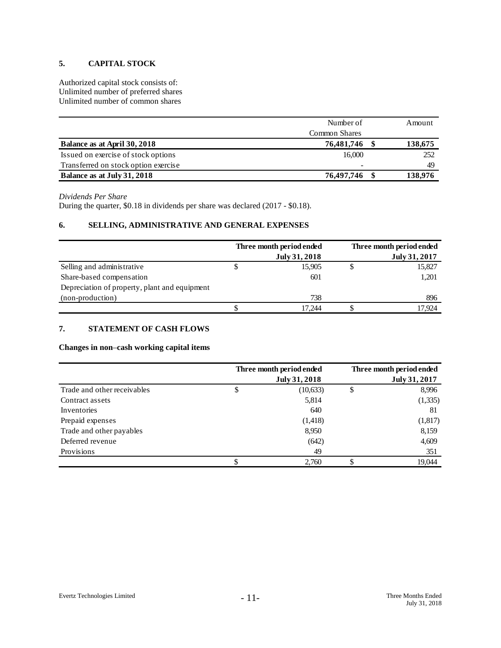## **5. CAPITAL STOCK**

Authorized capital stock consists of: Unlimited number of preferred shares Unlimited number of common shares

|                                      | Number of     | Amount  |
|--------------------------------------|---------------|---------|
|                                      | Common Shares |         |
| Balance as at April 30, 2018         | 76,481,746    | 138,675 |
| Issued on exercise of stock options  | 16,000        | 252     |
| Transferred on stock option exercise | -             | 49      |
| Balance as at July 31, 2018          | 76,497,746    | 138,976 |

### *Dividends Per Share*

During the quarter, \$0.18 in dividends per share was declared (2017 - \$0.18).

## **6. SELLING, ADMINISTRATIVE AND GENERAL EXPENSES**

|                                               | Three month period ended | Three month period ended |
|-----------------------------------------------|--------------------------|--------------------------|
|                                               | July 31, 2018            | July 31, 2017            |
| Selling and administrative                    | 15,905                   | 15,827                   |
| Share-based compensation                      | 601                      | 1,201                    |
| Depreciation of property, plant and equipment |                          |                          |
| (non-production)                              | 738                      | 896                      |
|                                               | 17.244                   | 17.924                   |

## **7. STATEMENT OF CASH FLOWS**

## **Changes in non**–**cash working capital items**

|                             | Three month period ended<br>July 31, 2018 | Three month period ended<br>July 31, 2017 |
|-----------------------------|-------------------------------------------|-------------------------------------------|
| Trade and other receivables | \$<br>(10, 633)                           | \$<br>8,996                               |
| Contract assets             | 5,814                                     | (1, 335)                                  |
| Inventories                 | 640                                       | 81                                        |
| Prepaid expenses            | (1, 418)                                  | (1,817)                                   |
| Trade and other payables    | 8,950                                     | 8,159                                     |
| Deferred revenue            | (642)                                     | 4,609                                     |
| Provisions                  | 49                                        | 351                                       |
|                             | 2.760                                     | 19,044                                    |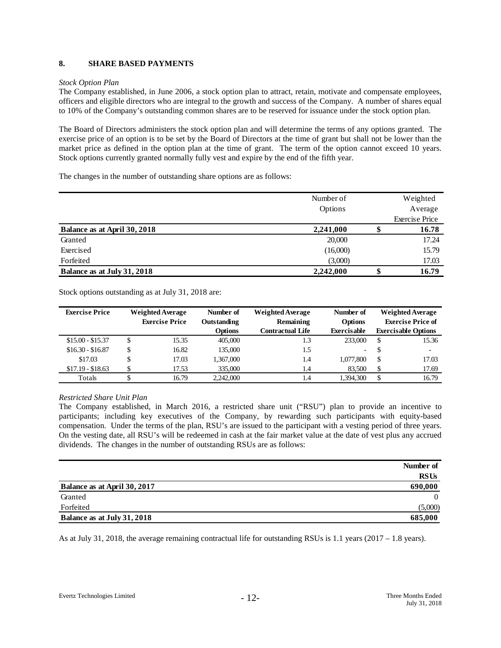## **8. SHARE BASED PAYMENTS**

## *Stock Option Plan*

The Company established, in June 2006, a stock option plan to attract, retain, motivate and compensate employees, officers and eligible directors who are integral to the growth and success of the Company. A number of shares equal to 10% of the Company's outstanding common shares are to be reserved for issuance under the stock option plan.

The Board of Directors administers the stock option plan and will determine the terms of any options granted. The exercise price of an option is to be set by the Board of Directors at the time of grant but shall not be lower than the market price as defined in the option plan at the time of grant. The term of the option cannot exceed 10 years. Stock options currently granted normally fully vest and expire by the end of the fifth year.

The changes in the number of outstanding share options are as follows:

|                              | Number of |    | Weighted              |
|------------------------------|-----------|----|-----------------------|
|                              | Options   |    | Average               |
|                              |           |    | <b>Exercise Price</b> |
| Balance as at April 30, 2018 | 2,241,000 |    | 16.78                 |
| Granted                      | 20,000    |    | 17.24                 |
| Exercised                    | (16,000)  |    | 15.79                 |
| Forfeited                    | (3,000)   |    | 17.03                 |
| Balance as at July 31, 2018  | 2,242,000 | JD | 16.79                 |

Stock options outstanding as at July 31, 2018 are:

| <b>Exercise Price</b> | <b>Weighted Average</b> |       | Number of      | <b>Weighted Average</b> | Number of                |    | <b>Weighted Average</b>    |
|-----------------------|-------------------------|-------|----------------|-------------------------|--------------------------|----|----------------------------|
|                       | <b>Exercise Price</b>   |       | Outstanding    | Remaining               | <b>Options</b>           |    | <b>Exercise Price of</b>   |
|                       |                         |       | <b>Options</b> | <b>Contractual Life</b> | Exercisable              |    | <b>Exercisable Options</b> |
| $$15.00 - $15.37$     |                         | 15.35 | 405,000        | 1.3                     | 233,000                  | \$ | 15.36                      |
| $$16.30 - $16.87$     |                         | 16.82 | 135,000        | 1.5                     | $\overline{\phantom{a}}$ | S  | -                          |
| \$17.03               |                         | 17.03 | 1,367,000      | 1.4                     | 1,077,800                | \$ | 17.03                      |
| $$17.19 - $18.63$     |                         | 17.53 | 335,000        | 1.4                     | 83.500                   | \$ | 17.69                      |
| Totals                |                         | 16.79 | 2,242,000      | 1.4                     | 1.394.300                | \$ | 16.79                      |

## *Restricted Share Unit Plan*

The Company established, in March 2016, a restricted share unit ("RSU") plan to provide an incentive to participants; including key executives of the Company, by rewarding such participants with equity-based compensation. Under the terms of the plan, RSU's are issued to the participant with a vesting period of three years. On the vesting date, all RSU's will be redeemed in cash at the fair market value at the date of vest plus any accrued dividends. The changes in the number of outstanding RSUs are as follows:

|                              | Number of   |
|------------------------------|-------------|
|                              | <b>RSUs</b> |
| Balance as at April 30, 2017 | 690,000     |
| Granted                      | 0           |
| Forfeited                    | (5,000)     |
| Balance as at July 31, 2018  | 685,000     |

As at July 31, 2018, the average remaining contractual life for outstanding RSUs is 1.1 years (2017 – 1.8 years).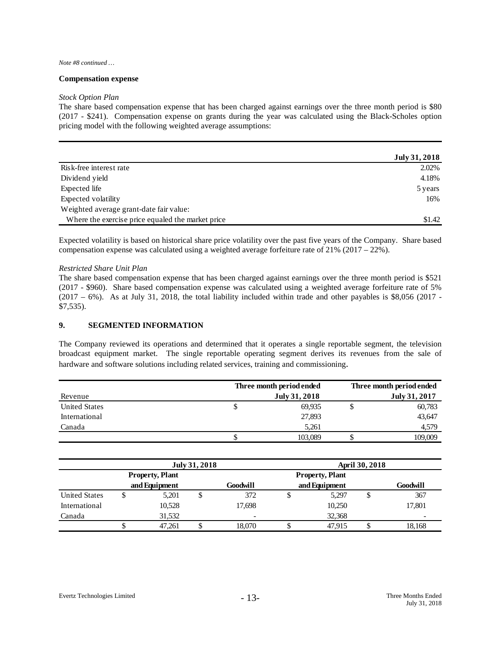#### *Note #8 continued …*

### **Compensation expense**

#### *Stock Option Plan*

The share based compensation expense that has been charged against earnings over the three month period is \$80 (2017 - \$241). Compensation expense on grants during the year was calculated using the Black-Scholes option pricing model with the following weighted average assumptions:

|                                                   | July 31, 2018 |
|---------------------------------------------------|---------------|
| Risk-free interest rate                           | 2.02%         |
| Dividend yield                                    | 4.18%         |
| Expected life                                     | 5 years       |
| Expected volatility                               | 16%           |
| Weighted average grant-date fair value:           |               |
| Where the exercise price equaled the market price | \$1.42        |

Expected volatility is based on historical share price volatility over the past five years of the Company. Share based compensation expense was calculated using a weighted average forfeiture rate of 21% (2017 – 22%).

### *Restricted Share Unit Plan*

The share based compensation expense that has been charged against earnings over the three month period is \$521 (2017 - \$960). Share based compensation expense was calculated using a weighted average forfeiture rate of 5%  $(2017 - 6%)$ . As at July 31, 2018, the total liability included within trade and other payables is \$8,056 (2017 -\$7,535).

## **9. SEGMENTED INFORMATION**

The Company reviewed its operations and determined that it operates a single reportable segment, the television broadcast equipment market. The single reportable operating segment derives its revenues from the sale of hardware and software solutions including related services, training and commissioning.

|                      | Three month period ended |               | Three month period ended |
|----------------------|--------------------------|---------------|--------------------------|
| Revenue              |                          | July 31, 2018 | July 31, 2017            |
| <b>United States</b> | Φ                        | 69.935        | 60,783                   |
| International        |                          | 27,893        | 43,647                   |
| Canada               |                          | 5.261         | 4,579                    |
|                      | J.                       | 103,089       | 109,009                  |

|                      | July 31, 2018          |        |  |          | <b>April 30, 2018</b>  |        |    |          |  |
|----------------------|------------------------|--------|--|----------|------------------------|--------|----|----------|--|
|                      | <b>Property, Plant</b> |        |  |          | <b>Property, Plant</b> |        |    |          |  |
|                      | and Equipment          |        |  | Goodwill | and Equipment          |        |    | Goodwill |  |
| <b>United States</b> | ◡                      | 5,201  |  | 372      |                        | 5,297  | \$ | 367      |  |
| International        |                        | 10,528 |  | 17.698   |                        | 10,250 |    | 17,801   |  |
| Canada               |                        | 31.532 |  |          |                        | 32,368 |    | -        |  |
|                      |                        | 47.261 |  | 18.070   |                        | 47.915 |    | 18,168   |  |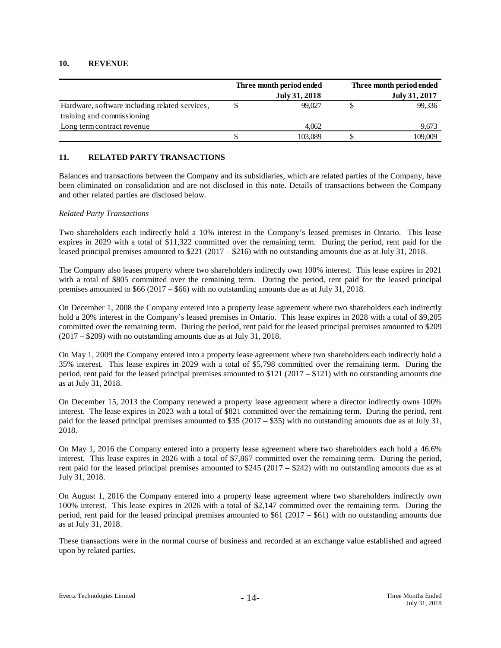## **10. REVENUE**

|                                                                              | Three month period ended<br>July 31, 2018 |         | Three month period ended<br>July 31, 2017 |         |  |
|------------------------------------------------------------------------------|-------------------------------------------|---------|-------------------------------------------|---------|--|
| Hardware, software including related services,<br>training and commissioning |                                           | 99.027  |                                           | 99,336  |  |
| Long term contract revenue                                                   |                                           | 4.062   |                                           | 9,673   |  |
|                                                                              |                                           | 103,089 |                                           | 109,009 |  |

## **11. RELATED PARTY TRANSACTIONS**

Balances and transactions between the Company and its subsidiaries, which are related parties of the Company, have been eliminated on consolidation and are not disclosed in this note. Details of transactions between the Company and other related parties are disclosed below.

## *Related Party Transactions*

Two shareholders each indirectly hold a 10% interest in the Company's leased premises in Ontario. This lease expires in 2029 with a total of \$11,322 committed over the remaining term. During the period, rent paid for the leased principal premises amounted to \$221 (2017 – \$216) with no outstanding amounts due as at July 31, 2018.

The Company also leases property where two shareholders indirectly own 100% interest. This lease expires in 2021 with a total of \$805 committed over the remaining term. During the period, rent paid for the leased principal premises amounted to \$66 (2017 – \$66) with no outstanding amounts due as at July 31, 2018.

On December 1, 2008 the Company entered into a property lease agreement where two shareholders each indirectly hold a 20% interest in the Company's leased premises in Ontario. This lease expires in 2028 with a total of \$9,205 committed over the remaining term. During the period, rent paid for the leased principal premises amounted to \$209 (2017 – \$209) with no outstanding amounts due as at July 31, 2018.

On May 1, 2009 the Company entered into a property lease agreement where two shareholders each indirectly hold a 35% interest. This lease expires in 2029 with a total of \$5,798 committed over the remaining term. During the period, rent paid for the leased principal premises amounted to \$121 (2017 – \$121) with no outstanding amounts due as at July 31, 2018.

On December 15, 2013 the Company renewed a property lease agreement where a director indirectly owns 100% interest. The lease expires in 2023 with a total of \$821 committed over the remaining term. During the period, rent paid for the leased principal premises amounted to \$35 (2017 – \$35) with no outstanding amounts due as at July 31, 2018.

On May 1, 2016 the Company entered into a property lease agreement where two shareholders each hold a 46.6% interest. This lease expires in 2026 with a total of \$7,867 committed over the remaining term. During the period, rent paid for the leased principal premises amounted to \$245 (2017 – \$242) with no outstanding amounts due as at July 31, 2018.

On August 1, 2016 the Company entered into a property lease agreement where two shareholders indirectly own 100% interest. This lease expires in 2026 with a total of \$2,147 committed over the remaining term. During the period, rent paid for the leased principal premises amounted to \$61 (2017 – \$61) with no outstanding amounts due as at July 31, 2018.

These transactions were in the normal course of business and recorded at an exchange value established and agreed upon by related parties.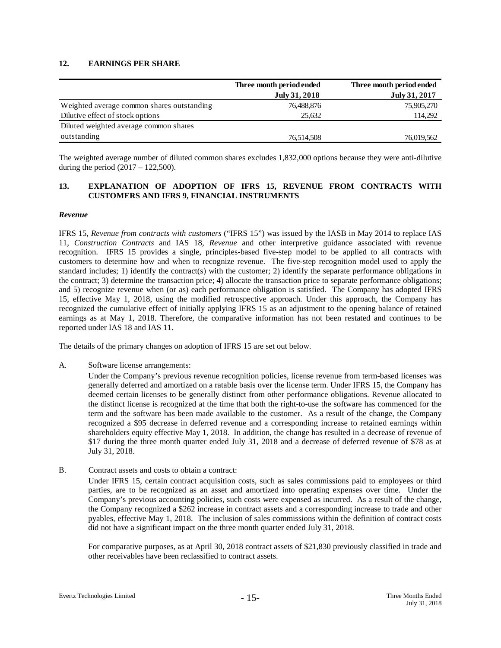## **12. EARNINGS PER SHARE**

|                                            | Three month period ended<br>July 31, 2018 | Three month period ended<br>July 31, 2017 |
|--------------------------------------------|-------------------------------------------|-------------------------------------------|
| Weighted average common shares outstanding | 76,488,876                                | 75,905,270                                |
| Dilutive effect of stock options           | 25.632                                    | 114,292                                   |
| Diluted weighted average common shares     |                                           |                                           |
| outstanding                                | 76.514.508                                | 76,019,562                                |

The weighted average number of diluted common shares excludes 1,832,000 options because they were anti-dilutive during the period  $(2017 - 122,500)$ .

## **13. EXPLANATION OF ADOPTION OF IFRS 15, REVENUE FROM CONTRACTS WITH CUSTOMERS AND IFRS 9, FINANCIAL INSTRUMENTS**

### *Revenue*

IFRS 15, *Revenue from contracts with customers* ("IFRS 15") was issued by the IASB in May 2014 to replace IAS 11, *Construction Contracts* and IAS 18, *Revenue* and other interpretive guidance associated with revenue recognition. IFRS 15 provides a single, principles-based five-step model to be applied to all contracts with customers to determine how and when to recognize revenue. The five-step recognition model used to apply the standard includes; 1) identify the contract(s) with the customer; 2) identify the separate performance obligations in the contract; 3) determine the transaction price; 4) allocate the transaction price to separate performance obligations; and 5) recognize revenue when (or as) each performance obligation is satisfied. The Company has adopted IFRS 15, effective May 1, 2018, using the modified retrospective approach. Under this approach, the Company has recognized the cumulative effect of initially applying IFRS 15 as an adjustment to the opening balance of retained earnings as at May 1, 2018. Therefore, the comparative information has not been restated and continues to be reported under IAS 18 and IAS 11.

The details of the primary changes on adoption of IFRS 15 are set out below.

A. Software license arrangements:

Under the Company's previous revenue recognition policies, license revenue from term-based licenses was generally deferred and amortized on a ratable basis over the license term. Under IFRS 15, the Company has deemed certain licenses to be generally distinct from other performance obligations. Revenue allocated to the distinct license is recognized at the time that both the right-to-use the software has commenced for the term and the software has been made available to the customer. As a result of the change, the Company recognized a \$95 decrease in deferred revenue and a corresponding increase to retained earnings within shareholders equity effective May 1, 2018. In addition, the change has resulted in a decrease of revenue of \$17 during the three month quarter ended July 31, 2018 and a decrease of deferred revenue of \$78 as at July 31, 2018.

B. Contract assets and costs to obtain a contract:

Under IFRS 15, certain contract acquisition costs, such as sales commissions paid to employees or third parties, are to be recognized as an asset and amortized into operating expenses over time. Under the Company's previous accounting policies, such costs were expensed as incurred. As a result of the change, the Company recognized a \$262 increase in contract assets and a corresponding increase to trade and other pyables, effective May 1, 2018. The inclusion of sales commissions within the definition of contract costs did not have a significant impact on the three month quarter ended July 31, 2018.

For comparative purposes, as at April 30, 2018 contract assets of \$21,830 previously classified in trade and other receivables have been reclassified to contract assets.